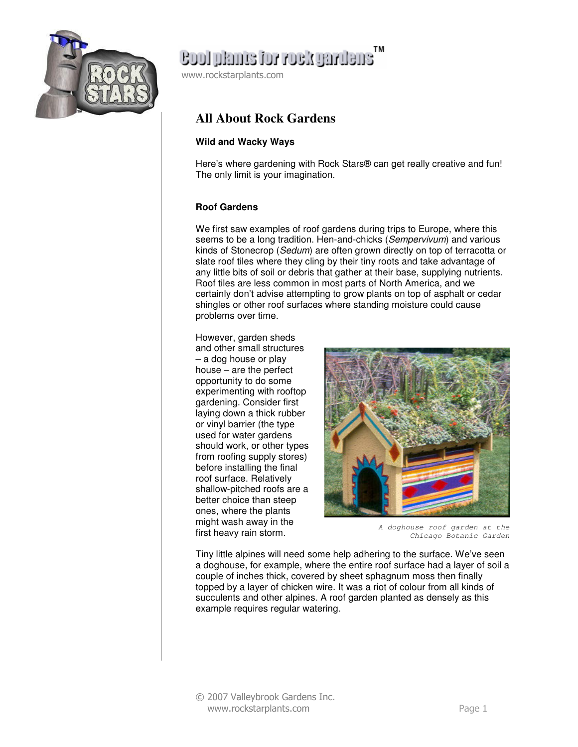

### ensilvägov voi email loos

www.rockstarplants.com

### **All About Rock Gardens**

#### **Wild and Wacky Ways**

Here's where gardening with Rock Stars® can get really creative and fun! The only limit is your imagination.

#### **Roof Gardens**

We first saw examples of roof gardens during trips to Europe, where this seems to be a long tradition. Hen-and-chicks (Sempervivum) and various kinds of Stonecrop (Sedum) are often grown directly on top of terracotta or slate roof tiles where they cling by their tiny roots and take advantage of any little bits of soil or debris that gather at their base, supplying nutrients. Roof tiles are less common in most parts of North America, and we certainly don't advise attempting to grow plants on top of asphalt or cedar shingles or other roof surfaces where standing moisture could cause problems over time.

However, garden sheds and other small structures – a dog house or play house – are the perfect opportunity to do some experimenting with rooftop gardening. Consider first laying down a thick rubber or vinyl barrier (the type used for water gardens should work, or other types from roofing supply stores) before installing the final roof surface. Relatively shallow-pitched roofs are a better choice than steep ones, where the plants might wash away in the first heavy rain storm.



A doghouse roof garden at the Chicago Botanic Garden

Tiny little alpines will need some help adhering to the surface. We've seen a doghouse, for example, where the entire roof surface had a layer of soil a couple of inches thick, covered by sheet sphagnum moss then finally topped by a layer of chicken wire. It was a riot of colour from all kinds of succulents and other alpines. A roof garden planted as densely as this example requires regular watering.

© 2007 Valleybrook Gardens Inc. www.rockstarplants.com Page 1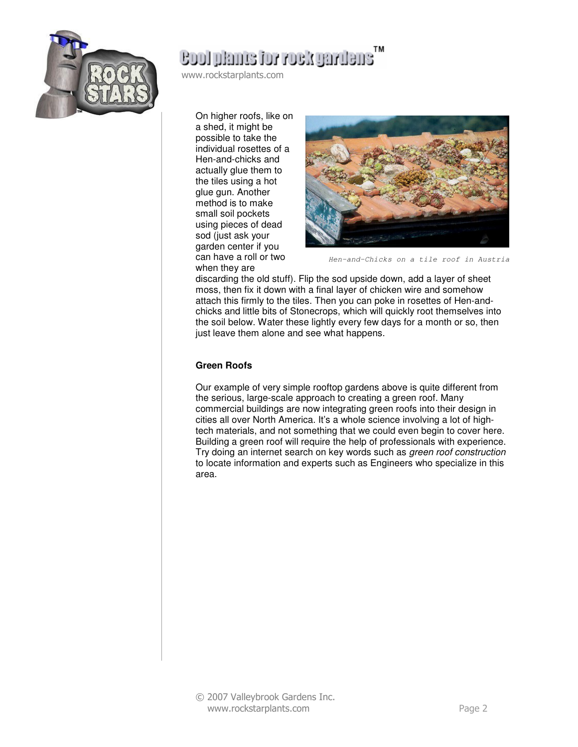

### ensilvery for rock particus

www.rockstarplants.com

On higher roofs, like on a shed, it might be possible to take the individual rosettes of a Hen-and-chicks and actually glue them to the tiles using a hot glue gun. Another method is to make small soil pockets using pieces of dead sod (just ask your garden center if you can have a roll or two when they are



Hen-and-Chicks on a tile roof in Austria

discarding the old stuff). Flip the sod upside down, add a layer of sheet moss, then fix it down with a final layer of chicken wire and somehow attach this firmly to the tiles. Then you can poke in rosettes of Hen-andchicks and little bits of Stonecrops, which will quickly root themselves into the soil below. Water these lightly every few days for a month or so, then just leave them alone and see what happens.

#### **Green Roofs**

Our example of very simple rooftop gardens above is quite different from the serious, large-scale approach to creating a green roof. Many commercial buildings are now integrating green roofs into their design in cities all over North America. It's a whole science involving a lot of hightech materials, and not something that we could even begin to cover here. Building a green roof will require the help of professionals with experience. Try doing an internet search on key words such as green roof construction to locate information and experts such as Engineers who specialize in this area.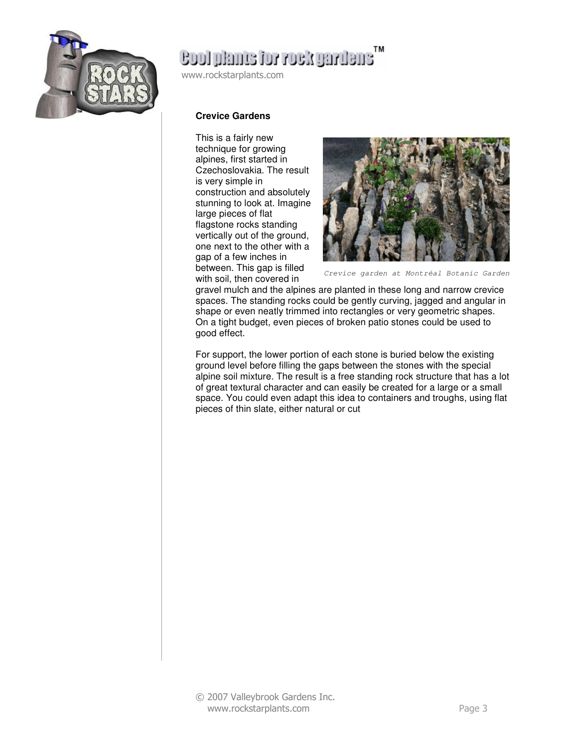

# enething for rock gardens

www.rockstarplants.com

#### **Crevice Gardens**

This is a fairly new technique for growing alpines, first started in Czechoslovakia. The result is very simple in construction and absolutely stunning to look at. Imagine large pieces of flat flagstone rocks standing vertically out of the ground, one next to the other with a gap of a few inches in between. This gap is filled with soil, then covered in



Crevice garden at Montréal Botanic Garden

gravel mulch and the alpines are planted in these long and narrow crevice spaces. The standing rocks could be gently curving, jagged and angular in shape or even neatly trimmed into rectangles or very geometric shapes. On a tight budget, even pieces of broken patio stones could be used to good effect.

For support, the lower portion of each stone is buried below the existing ground level before filling the gaps between the stones with the special alpine soil mixture. The result is a free standing rock structure that has a lot of great textural character and can easily be created for a large or a small space. You could even adapt this idea to containers and troughs, using flat pieces of thin slate, either natural or cut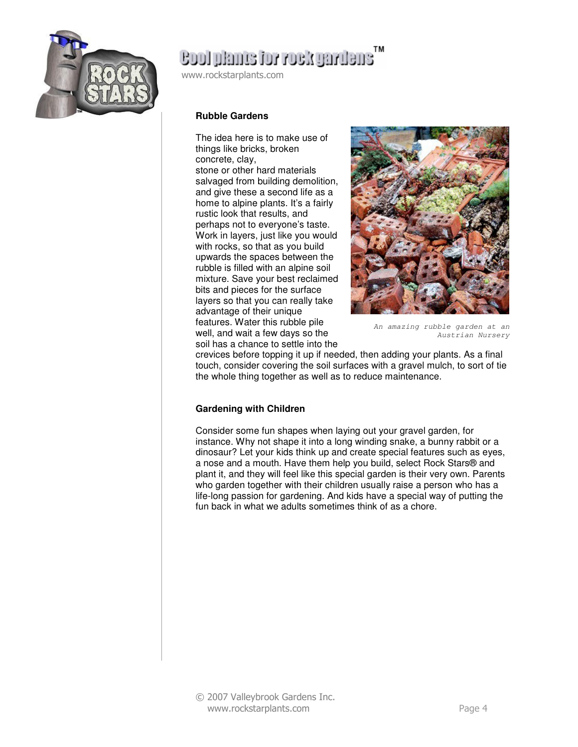

# ensuring Noor rot enmal loos

www.rockstarplants.com

#### **Rubble Gardens**

The idea here is to make use of things like bricks, broken concrete, clay,

stone or other hard materials salvaged from building demolition, and give these a second life as a home to alpine plants. It's a fairly rustic look that results, and perhaps not to everyone's taste. Work in layers, just like you would with rocks, so that as you build upwards the spaces between the rubble is filled with an alpine soil mixture. Save your best reclaimed bits and pieces for the surface layers so that you can really take advantage of their unique features. Water this rubble pile well, and wait a few days so the soil has a chance to settle into the



An amazing rubble garden at an Austrian Nursery

crevices before topping it up if needed, then adding your plants. As a final touch, consider covering the soil surfaces with a gravel mulch, to sort of tie the whole thing together as well as to reduce maintenance.

#### **Gardening with Children**

Consider some fun shapes when laying out your gravel garden, for instance. Why not shape it into a long winding snake, a bunny rabbit or a dinosaur? Let your kids think up and create special features such as eyes, a nose and a mouth. Have them help you build, select Rock Stars® and plant it, and they will feel like this special garden is their very own. Parents who garden together with their children usually raise a person who has a life-long passion for gardening. And kids have a special way of putting the fun back in what we adults sometimes think of as a chore.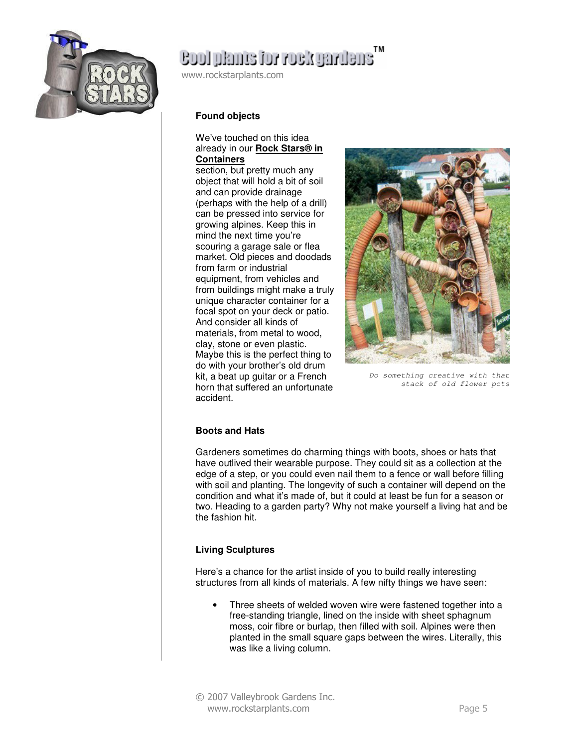

## ensuring Noor rot enmal loos

www.rockstarplants.com

#### **Found objects**

#### We've touched on this idea already in our **Rock Stars® in Containers**

section, but pretty much any object that will hold a bit of soil and can provide drainage (perhaps with the help of a drill) can be pressed into service for growing alpines. Keep this in mind the next time you're scouring a garage sale or flea market. Old pieces and doodads from farm or industrial equipment, from vehicles and from buildings might make a truly unique character container for a focal spot on your deck or patio. And consider all kinds of materials, from metal to wood, clay, stone or even plastic. Maybe this is the perfect thing to do with your brother's old drum kit, a beat up guitar or a French horn that suffered an unfortunate accident.



Do something creative with that stack of old flower pots

#### **Boots and Hats**

Gardeners sometimes do charming things with boots, shoes or hats that have outlived their wearable purpose. They could sit as a collection at the edge of a step, or you could even nail them to a fence or wall before filling with soil and planting. The longevity of such a container will depend on the condition and what it's made of, but it could at least be fun for a season or two. Heading to a garden party? Why not make yourself a living hat and be the fashion hit.

#### **Living Sculptures**

Here's a chance for the artist inside of you to build really interesting structures from all kinds of materials. A few nifty things we have seen:

- Three sheets of welded woven wire were fastened together into a free-standing triangle, lined on the inside with sheet sphagnum moss, coir fibre or burlap, then filled with soil. Alpines were then planted in the small square gaps between the wires. Literally, this was like a living column.
- © 2007 Valleybrook Gardens Inc. www.rockstarplants.com Page 5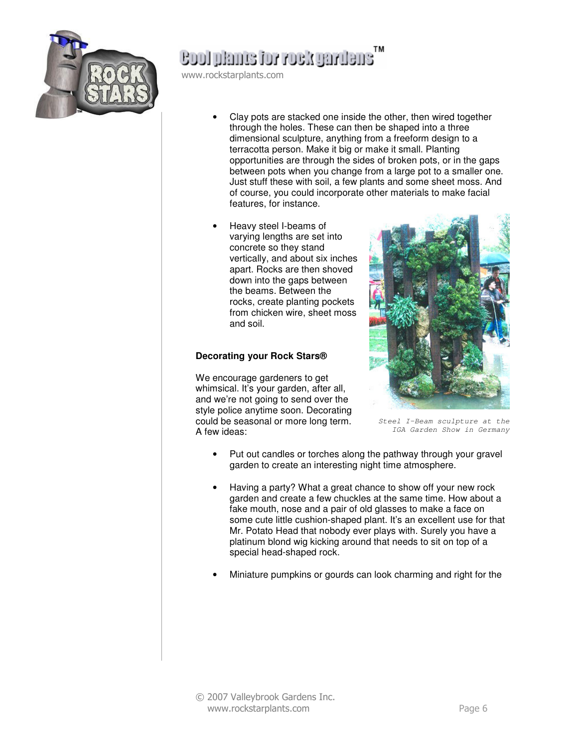

### ensuring Noor rot enmal loos

www.rockstarplants.com

- Clay pots are stacked one inside the other, then wired together through the holes. These can then be shaped into a three dimensional sculpture, anything from a freeform design to a terracotta person. Make it big or make it small. Planting opportunities are through the sides of broken pots, or in the gaps between pots when you change from a large pot to a smaller one. Just stuff these with soil, a few plants and some sheet moss. And of course, you could incorporate other materials to make facial features, for instance.
- Heavy steel I-beams of varying lengths are set into concrete so they stand vertically, and about six inches apart. Rocks are then shoved down into the gaps between the beams. Between the rocks, create planting pockets from chicken wire, sheet moss and soil.

#### **Decorating your Rock Stars®**

We encourage gardeners to get whimsical. It's your garden, after all, and we're not going to send over the style police anytime soon. Decorating could be seasonal or more long term. A few ideas:



Steel I-Beam sculpture at the IGA Garden Show in Germany

- Put out candles or torches along the pathway through your gravel garden to create an interesting night time atmosphere.
- Having a party? What a great chance to show off your new rock garden and create a few chuckles at the same time. How about a fake mouth, nose and a pair of old glasses to make a face on some cute little cushion-shaped plant. It's an excellent use for that Mr. Potato Head that nobody ever plays with. Surely you have a platinum blond wig kicking around that needs to sit on top of a special head-shaped rock.
- Miniature pumpkins or gourds can look charming and right for the